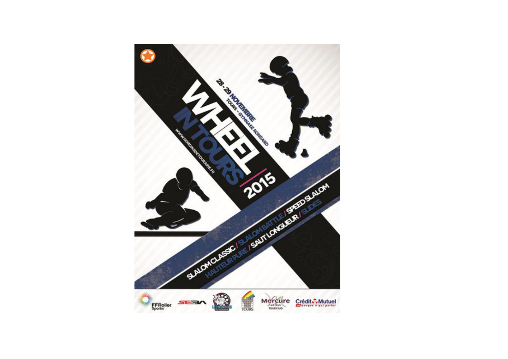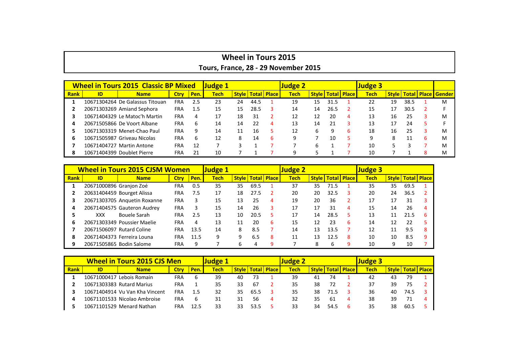| <b>Wheel in Tours 2015</b>           |  |  |  |  |  |  |  |  |  |  |
|--------------------------------------|--|--|--|--|--|--|--|--|--|--|
| Tours, France, 28 - 29 November 2015 |  |  |  |  |  |  |  |  |  |  |

|             | <b>Wheel in Tours 2015 Classic BP Mixed</b> | <b>Judge 1</b>                  |             |              |             | <b>Judge 2</b> |      |                              |             | <b>Judge 3</b> |                                |   |             |    |                        |                     |
|-------------|---------------------------------------------|---------------------------------|-------------|--------------|-------------|----------------|------|------------------------------|-------------|----------------|--------------------------------|---|-------------|----|------------------------|---------------------|
| <b>Rank</b> | ID                                          | <b>Name</b>                     | <b>Ctry</b> | Pen.         | <b>Tech</b> |                |      | <b>Style   Total   Place</b> | <b>Tech</b> |                | <b>Style   Total   Place  </b> |   | <b>Tech</b> |    | <b>Style   Total  </b> | <b>Place Gender</b> |
|             |                                             | 10671304264 De Galassus Titouan | <b>FRA</b>  | 2.5          | 23          | 24             | 44.5 |                              | 19          | 15             | 31.5                           |   | 22          | 19 | 38.5                   | м                   |
|             |                                             | 20671303269 Amiand Sephora      | <b>FRA</b>  | 1.5          | 15          | 15             | 28.5 |                              | 14          | 14             | 26.5                           |   | 15          | 17 | 30.5                   |                     |
|             |                                             | 10671404329 Le Matoc'h Martin   | <b>FRA</b>  | 4            |             | 18             | 31   |                              | 12          | 12             | 20                             | 4 | 13          | 16 | 25                     | M                   |
|             |                                             | 20671505866 De Voort Albane     | <b>FRA</b>  | <sub>b</sub> | 14          | 14             | 22   |                              | 13          | 14             | 21                             |   | 13          | 17 | 24                     |                     |
|             |                                             | 10671303319 Menet-Chao Paul     | <b>FRA</b>  | 9            | 14          |                | 16   |                              | 12          | 6.             |                                | h | 18          | 16 | 25                     | M                   |
|             |                                             | 10671505987 Griveau Nicolas     | <b>FRA</b>  | b            | 12          | 8              | 14   | b                            | 9           |                | 10                             |   | q           |    | 11                     | M                   |
|             |                                             | 10671404727 Martin Antone       | <b>FRA</b>  | 12           |             |                |      |                              |             |                |                                |   | 10          |    |                        | M                   |
|             |                                             | 10671404399 Doublet Pierre      | FRA         | 21           | 10          |                |      |                              | q           |                |                                |   | 10          |    |                        | M                   |

|             | <b>Wheel in Tours 2015 CJSM Women</b> | <b>Judge 1</b>               |             |      |             | <u>Judge 2</u> |      |                                |      | <b>Judge 3</b> |      |                                |             |              |      |                      |
|-------------|---------------------------------------|------------------------------|-------------|------|-------------|----------------|------|--------------------------------|------|----------------|------|--------------------------------|-------------|--------------|------|----------------------|
| <b>Rank</b> | ID                                    | <b>Name</b>                  | <b>Ctry</b> | Pen. | <b>Tech</b> |                |      | <b>Style   Total   Place  </b> | Tech |                |      | <b>Style   Total   Place  </b> | <b>Tech</b> | <b>Style</b> |      | <b>Total   Place</b> |
|             | 20671000896 Granjon Zoé               |                              | FRA         | 0.5  | 35          | 35             | 69.5 |                                | 37   | 35             | 71.5 |                                | 35          | 35           | 69.5 |                      |
|             |                                       | 20631404459 Bourget Alissa   | FRA         | 7.5  | 17          | 18             | 27.5 |                                | 20   | 20             | 32.5 |                                | 20          | 24           | 36.5 |                      |
| 3           |                                       | 20671303705 Anguetin Roxanne | <b>FRA</b>  |      | 15          | 13             | 25   | 4                              | 19   | 20             | 36   |                                | 17          |              | 31   |                      |
| 4           |                                       | 20671404575 Gauteron Audrey  | <b>FRA</b>  |      | 15          | 14             | 26   |                                | 17   | 17             | 31   | 4                              | 15          | 14           | 26   |                      |
|             | XXX                                   | Bouele Sarah                 | FRA         | 2.5  | 13          | 10             | 20.5 |                                | 17   | 14             | 28.5 |                                | 13          | 11           | 21.5 |                      |
| 6           |                                       | 20671303349 Poussier Maelie  | FRA         | 4    | 13          |                | 20   | 6                              | 15   | 12             | 23   | 6                              | 14          | 12           | 22   |                      |
|             |                                       | 20671506097 Rutard Coline    | FRA         | 13.5 | 14          | 8              | 8.5  |                                | 14   | 13             | 13.5 |                                | 12          | 11           | 9.5  |                      |
| 8           |                                       | 20671404373 Ferreira Louna   | FRA         | 11.5 | 9           | 9              | 6.5  | 8                              | 11   | 13             | 12.5 | 8                              | 10          | 10           | 8.5  |                      |
| 9           |                                       | 20671505865 Bodin Salome     | FRA         | q    |             | 6              |      |                                |      |                |      |                                | 10          | 9            | 10   |                      |

|             | <b>Wheel in Tours 2015 CJS Men</b> | <b>Judge 1</b>                 |             |      |      | <b>Judge 2</b> |      |                                |      | <b>Judge 3</b> |      |                                |      |              |               |  |
|-------------|------------------------------------|--------------------------------|-------------|------|------|----------------|------|--------------------------------|------|----------------|------|--------------------------------|------|--------------|---------------|--|
| <b>Rank</b> | ID                                 | <b>Name</b>                    | <b>Ctrv</b> | Pen. | Tech |                |      | <b>Style   Total   Place  </b> | Tech |                |      | <b>Style   Total   Place  </b> | Tech | <b>Style</b> | Total   Place |  |
|             |                                    | 10671000417 Lebois Romain      | FRA         | b    | 39   | 40             |      |                                | 39   | 41             | 74   |                                | 42   | 43           | 79            |  |
|             |                                    | 10671303383 Rutard Marius      | FRA         |      | 35   | 33             | -67  |                                | 35   | 38             | 72   |                                | 37   | 39           | 75            |  |
|             |                                    | 10671404914 Vu Van Kha Vincent | FRA         |      | 32   | 35             | 65.5 |                                | 35   | 38             | 71.5 |                                | 36   | 40           | 74.5          |  |
|             |                                    | 10671101533 Nicolao Ambroise   | <b>FRA</b>  | 6    | 31   | 31             | 56   |                                | 32   | 35             | 61   |                                | 38   | 39           | 71            |  |
|             |                                    | 10671101529 Menard Nathan      | FRA         | 12.5 | 33   |                | 53.5 |                                | 33   |                | 54.5 |                                | 35   | 38           | 60.5          |  |